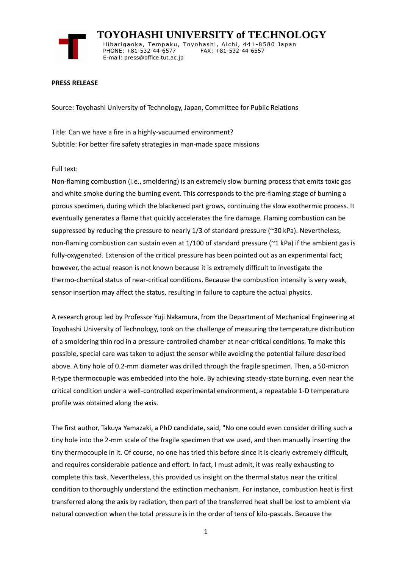

 **TOYOHASHI UNIVERSITY of TECHNOLOGY** Hibarigaoka, Tempaku, Toyohashi, Aichi, 441-8580 Japan PHONE: +81-532-44-6577 FAX: +81-532-44-6557 E-mail: press@office.tut.ac.jp

## **PRESS RELEASE**

Source: Toyohashi University of Technology, Japan, Committee for Public Relations

Title: Can we have a fire in a highly-vacuumed environment? Subtitle: For better fire safety strategies in man-made space missions

## Full text:

Non-flaming combustion (i.e., smoldering) is an extremely slow burning process that emits toxic gas and white smoke during the burning event. This corresponds to the pre-flaming stage of burning a porous specimen, during which the blackened part grows, continuing the slow exothermic process. It eventually generates a flame that quickly accelerates the fire damage. Flaming combustion can be suppressed by reducing the pressure to nearly 1/3 of standard pressure (~30 kPa). Nevertheless, non-flaming combustion can sustain even at 1/100 of standard pressure (~1 kPa) if the ambient gas is fully-oxygenated. Extension of the critical pressure has been pointed out as an experimental fact; however, the actual reason is not known because it is extremely difficult to investigate the thermo-chemical status of near-critical conditions. Because the combustion intensity is very weak, sensor insertion may affect the status, resulting in failure to capture the actual physics.

A research group led by Professor Yuji Nakamura, from the Department of Mechanical Engineering at Toyohashi University of Technology, took on the challenge of measuring the temperature distribution of a smoldering thin rod in a pressure-controlled chamber at near-critical conditions. To make this possible, special care was taken to adjust the sensor while avoiding the potential failure described above. A tiny hole of 0.2-mm diameter was drilled through the fragile specimen. Then, a 50-micron R-type thermocouple was embedded into the hole. By achieving steady-state burning, even near the critical condition under a well-controlled experimental environment, a repeatable 1-D temperature profile was obtained along the axis.

The first author, Takuya Yamazaki, a PhD candidate, said, "No one could even consider drilling such a tiny hole into the 2-mm scale of the fragile specimen that we used, and then manually inserting the tiny thermocouple in it. Of course, no one has tried this before since it is clearly extremely difficult, and requires considerable patience and effort. In fact, I must admit, it was really exhausting to complete this task. Nevertheless, this provided us insight on the thermal status near the critical condition to thoroughly understand the extinction mechanism. For instance, combustion heat is first transferred along the axis by radiation, then part of the transferred heat shall be lost to ambient via natural convection when the total pressure is in the order of tens of kilo-pascals. Because the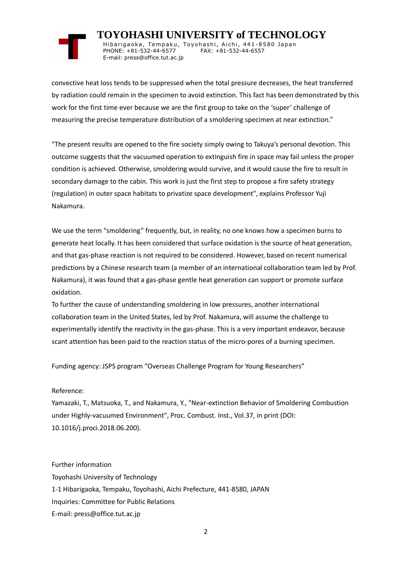## **TOYOHASHI UNIVERSITY of TECHNOLOGY**

Hibarigaoka, Tempaku, Toyohashi, Aichi, 441-8580 Japan PHONE: +81-532-44-6577 FAX: +81-532-44-6557 E-mail: press@office.tut.ac.jp

convective heat loss tends to be suppressed when the total pressure decreases, the heat transferred by radiation could remain in the specimen to avoid extinction. This fact has been demonstrated by this work for the first time ever because we are the first group to take on the 'super' challenge of measuring the precise temperature distribution of a smoldering specimen at near extinction."

"The present results are opened to the fire society simply owing to Takuya's personal devotion. This outcome suggests that the vacuumed operation to extinguish fire in space may fail unless the proper condition is achieved. Otherwise, smoldering would survive, and it would cause the fire to result in secondary damage to the cabin. This work is just the first step to propose a fire safety strategy (regulation) in outer space habitats to privatize space development", explains Professor Yuji Nakamura.

We use the term "smoldering" frequently, but, in reality, no one knows how a specimen burns to generate heat locally. It has been considered that surface oxidation is the source of heat generation, and that gas-phase reaction is not required to be considered. However, based on recent numerical predictions by a Chinese research team (a member of an international collaboration team led by Prof. Nakamura), it was found that a gas-phase gentle heat generation can support or promote surface oxidation.

To further the cause of understanding smoldering in low pressures, another international collaboration team in the United States, led by Prof. Nakamura, will assume the challenge to experimentally identify the reactivity in the gas-phase. This is a very important endeavor, because scant attention has been paid to the reaction status of the micro-pores of a burning specimen.

Funding agency: JSPS program "Overseas Challenge Program for Young Researchers"

## Reference:

Yamazaki, T., Matsuoka, T., and Nakamura, Y., "Near-extinction Behavior of Smoldering Combustion under Highly-vacuumed Environment", Proc. Combust. Inst., Vol.37, in print (DOI: 10.1016/j.proci.2018.06.200).

Further information Toyohashi University of Technology 1-1 Hibarigaoka, Tempaku, Toyohashi, Aichi Prefecture, 441-8580, JAPAN Inquiries: Committee for Public Relations E-mail: press@office.tut.ac.jp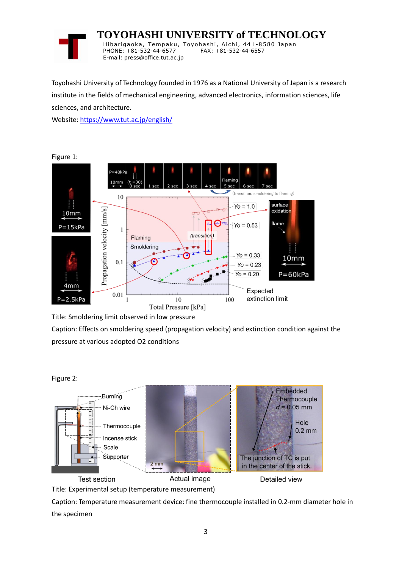

 **TOYOHASHI UNIVERSITY of TECHNOLOGY** Hibarigaoka, Tempaku, Toyohashi, Aichi, 441-8580 Japan PHONE: +81-532-44-6577 FAX: +81-532-44-6557 E-mail: press@office.tut.ac.jp

Toyohashi University of Technology founded in 1976 as a National University of Japan is a research institute in the fields of mechanical engineering, advanced electronics, information sciences, life sciences, and architecture.

Website[: https://www.tut.ac.jp/english/](https://www.tut.ac.jp/english/)



Title: Smoldering limit observed in low pressure

Caption: Effects on smoldering speed (propagation velocity) and extinction condition against the pressure at various adopted O2 conditions





Title: Experimental setup (temperature measurement)

Caption: Temperature measurement device: fine thermocouple installed in 0.2-mm diameter hole in the specimen